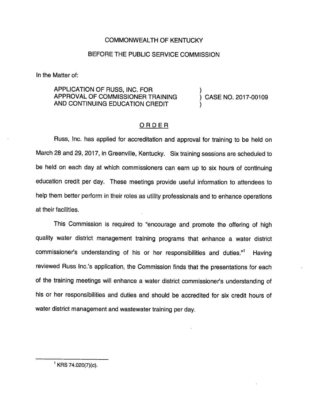## COMMONWEALTH OF KENTUCKY

## BEFORE THE PUBLIC SERVICE COMMISSION

In the Matter of:

APPLICATION OF RUSS, INC. FOR ) APPROVAL OF COMMISSIONER TRAINING  $\qquad$  ) CASE NO. 2017-00109 AND CONTINUING EDUCATION CREDIT

## ORDER

Russ, Inc. has applied for accreditation and approval for training to be held on March 28 and 29, 2017, in Greenville, Kentucky. Six training sessions are scheduled to be held on each day at which commissioners can earn up to six hours of continuing education credit per day. These meetings provide useful Information to attendees to help them better perform in their roles as utility professionals and to enhance operations at their facilities.

This Commission is required to "encourage and promote the offering of high quality water district management training programs that enhance a water district commissioner's understanding of his or her responsibilities and duties."<sup>1</sup> Having reviewed Russ Inc.'s application, the Commission finds that the presentations for each of the training meetings will enhance a water district commissioner's understanding of his or her responsibilities and duties and should be accredited for six credit hours of water district management and wastewater training per day.

 $^1$  KRS 74.020(7)(c).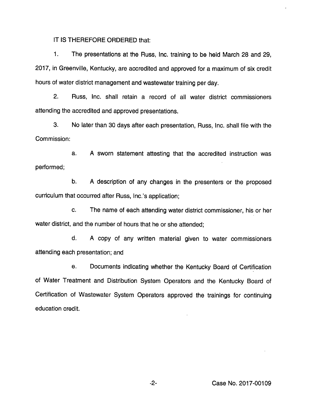IT IS THEREFORE ORDERED that:

1. The presentations at the Russ, Inc. training to be held March 28 and 29, 2017, in Greenville, Kentucky, are accredited and approved for a maximum of six credit hours of water district management and wastewater training per day.

2. Russ, Inc. shall retain a record of all water district commissioners attending the accredited and approved presentations.

3. No later than 30 days after each presentation, Russ, Inc. shall file with the Commission:

a. A sworn statement attesting that the accredited instruction was performed;

b. A description of any changes in the presenters or the proposed curriculum that occurred after Russ, Inc.'s application;

c. The name of each attending water district commissioner, his or her water district, and the number of hours that he or she attended;

d. A copy of any written material given to water commissioners attending each presentation; and

e. Documents indicating whether the Kentucky Board of Certification of Water Treatment and Distribution System Operators and the Kentucky Board of Certification of Wastewater System Operators approved the trainings for continuing education credit.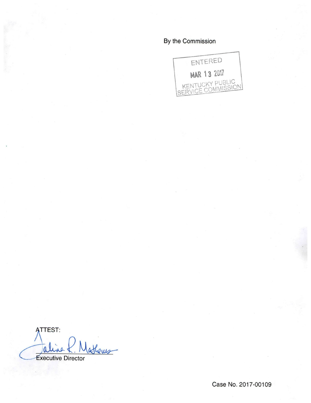## By the Commission



**ATTEST:** latheres  $\mathfrak{a}$ **Executive Director** 

Case No. 2017-00109